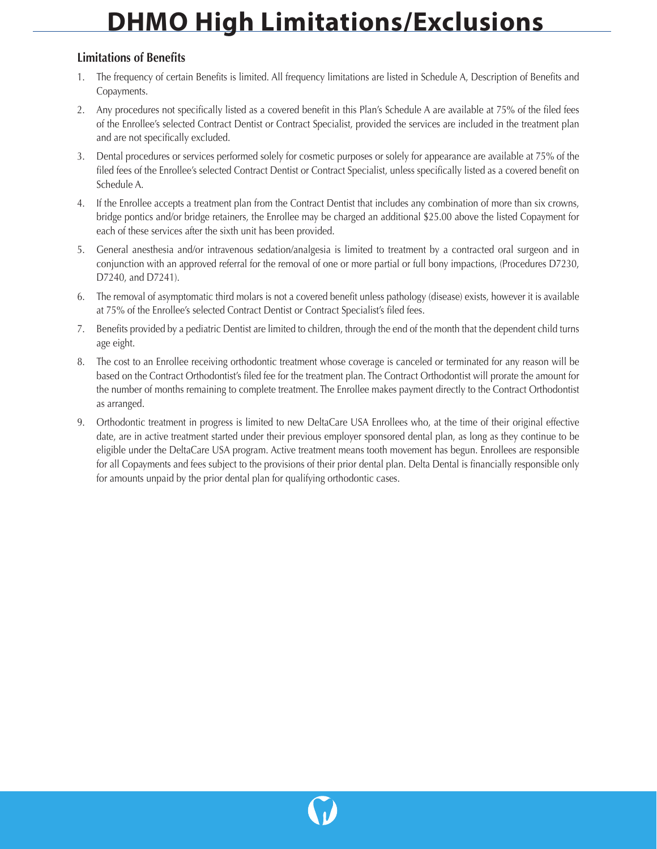## **DHMO High Limitations/Exclusions**

## **Limitations of Benefits**

- 1. The frequency of certain Benefits is limited. All frequency limitations are listed in Schedule A, Description of Benefits and Copayments.
- 2. Any procedures not specifically listed as a covered benefit in this Plan's Schedule A are available at 75% of the filed fees of the Enrollee's selected Contract Dentist or Contract Specialist, provided the services are included in the treatment plan and are not specifically excluded.
- 3. Dental procedures or services performed solely for cosmetic purposes or solely for appearance are available at 75% of the filed fees of the Enrollee's selected Contract Dentist or Contract Specialist, unless specifically listed as a covered benefit on Schedule A.
- 4. If the Enrollee accepts a treatment plan from the Contract Dentist that includes any combination of more than six crowns, bridge pontics and/or bridge retainers, the Enrollee may be charged an additional \$25.00 above the listed Copayment for each of these services after the sixth unit has been provided.
- 5. General anesthesia and/or intravenous sedation/analgesia is limited to treatment by a contracted oral surgeon and in conjunction with an approved referral for the removal of one or more partial or full bony impactions, (Procedures D7230, D7240, and D7241).
- 6. The removal of asymptomatic third molars is not a covered benefit unless pathology (disease) exists, however it is available at 75% of the Enrollee's selected Contract Dentist or Contract Specialist's filed fees.
- 7. Benefits provided by a pediatric Dentist are limited to children, through the end of the month that the dependent child turns age eight.
- 8. The cost to an Enrollee receiving orthodontic treatment whose coverage is canceled or terminated for any reason will be based on the Contract Orthodontist's filed fee for the treatment plan. The Contract Orthodontist will prorate the amount for the number of months remaining to complete treatment. The Enrollee makes payment directly to the Contract Orthodontist as arranged.
- 9. Orthodontic treatment in progress is limited to new DeltaCare USA Enrollees who, at the time of their original effective date, are in active treatment started under their previous employer sponsored dental plan, as long as they continue to be eligible under the DeltaCare USA program. Active treatment means tooth movement has begun. Enrollees are responsible for all Copayments and fees subject to the provisions of their prior dental plan. Delta Dental is financially responsible only for amounts unpaid by the prior dental plan for qualifying orthodontic cases.